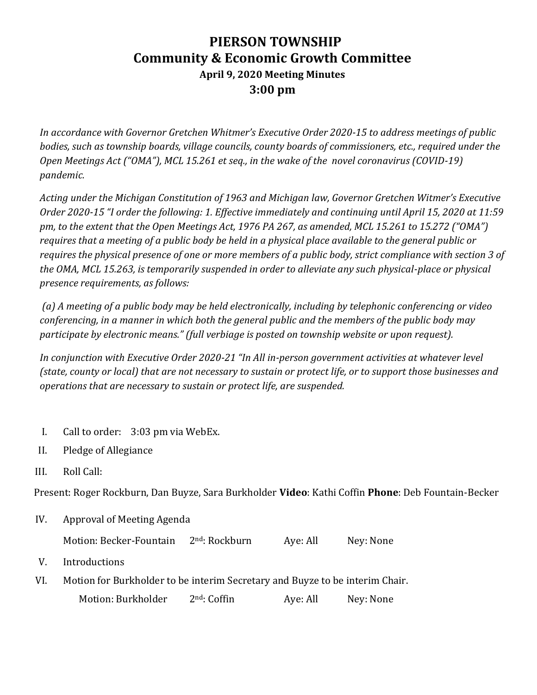## **PIERSON TOWNSHIP Community & Economic Growth Committee April 9, 2020 Meeting Minutes 3:00 pm**

*In accordance with Governor Gretchen Whitmer's Executive Order 2020-15 to address meetings of public bodies, such as township boards, village councils, county boards of commissioners, etc., required under the Open Meetings Act ("OMA"), MCL 15.261 et seq., in the wake of the novel coronavirus (COVID-19) pandemic.*

*Acting under the Michigan Constitution of 1963 and Michigan law, Governor Gretchen Witmer's Executive Order 2020-15 "I order the following: 1. Effective immediately and continuing until April 15, 2020 at 11:59 pm, to the extent that the Open Meetings Act, 1976 PA 267, as amended, MCL 15.261 to 15.272 ("OMA") requires that a meeting of a public body be held in a physical place available to the general public or requires the physical presence of one or more members of a public body, strict compliance with section 3 of the OMA, MCL 15.263, is temporarily suspended in order to alleviate any such physical-place or physical presence requirements, as follows:*

*(a) A meeting of a public body may be held electronically, including by telephonic conferencing or video conferencing, in a manner in which both the general public and the members of the public body may participate by electronic means." (full verbiage is posted on township website or upon request).*

*In conjunction with Executive Order 2020-21 "In All in-person government activities at whatever level (state, county or local) that are not necessary to sustain or protect life, or to support those businesses and operations that are necessary to sustain or protect life, are suspended.*

- I. Call to order: 3:03 pm via WebEx.
- II. Pledge of Allegiance
- III. Roll Call:

Present: Roger Rockburn, Dan Buyze, Sara Burkholder **Video**: Kathi Coffin **Phone**: Deb Fountain-Becker

IV. Approval of Meeting Agenda

Motion: Becker-Fountain  $2^{nd}$ : Rockburn Aye: All Ney: None

- V. Introductions
- VI. Motion for Burkholder to be interim Secretary and Buyze to be interim Chair.

Motion: Burkholder 2<sup>nd</sup>: Coffin Aye: All Ney: None